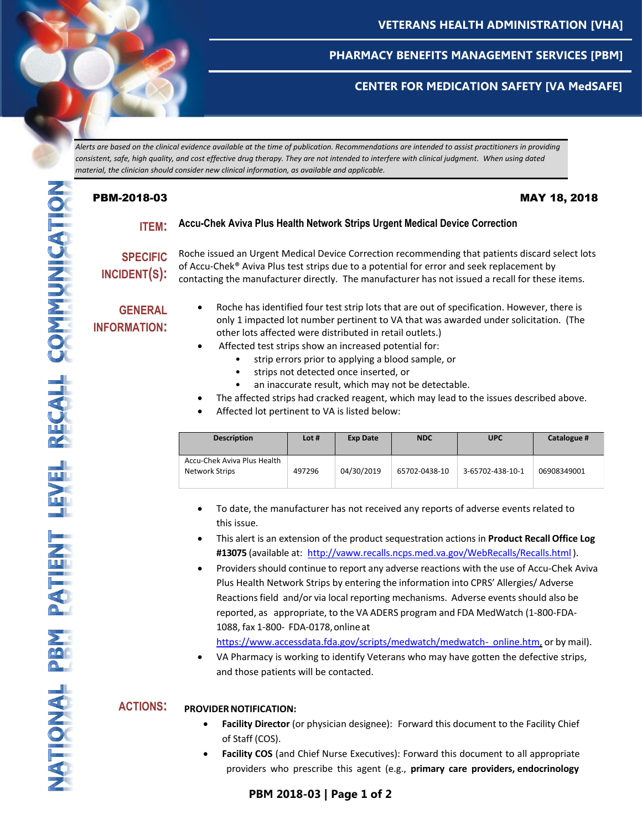

## **CENTER FOR MEDICATION SAFETY [VA MedSAFE]**

*Alerts are based on the clinical evidence available at the time of publication. Recommendations are intended to assist practitioners in providing consistent, safe, high quality, and cost effective drug therapy. They are not intended to interfere with clinical judgment. When using dated material, the clinician should consider new clinical information, as available and applicable.*

## PBM-2018-03 MAY 18, 2018

## **ITEM: Accu-Chek Aviva Plus Health Network Strips Urgent Medical Device Correction**

**SPECIFIC INCIDENT(S):**

Roche issued an Urgent Medical Device Correction recommending that patients discard select lots of Accu-Chek® Aviva Plus test strips due to a potential for error and seek replacement by contacting the manufacturer directly. The manufacturer has not issued a recall for these items.

## **GENERAL INFORMATION:**

- Roche has identified four test strip lots that are out of specification. However, there is only 1 impacted lot number pertinent to VA that was awarded under solicitation. (The other lots affected were distributed in retail outlets.)
- Affected test strips show an increased potential for:
	- strip errors prior to applying a blood sample, or
	- strips not detected once inserted, or
	- an inaccurate result, which may not be detectable.
- The affected strips had cracked reagent, which may lead to the issues described above.
- Affected lot pertinent to VA is listed below:

| <b>Description</b>                            | Lot #  | <b>Exp Date</b> | <b>NDC</b>    | <b>UPC</b>       | Catalogue # |
|-----------------------------------------------|--------|-----------------|---------------|------------------|-------------|
| Accu-Chek Aviva Plus Health<br>Network Strips | 497296 | 04/30/2019      | 65702-0438-10 | 3-65702-438-10-1 | 06908349001 |

- To date, the manufacturer has not received any reports of adverse events related to this issue.
- This alert is an extension of the product sequestration actions in **Product Recall Office Log #13075** (available at: [http://vaww.recalls.ncps.med.va.gov/WebRecalls/Recalls.html\)](http://vaww.recalls.ncps.med.va.gov/WebRecalls/Recalls.html).
- Providersshould continue to report any adverse reactions with the use of Accu-Chek Aviva Plus Health Network Strips by entering the information into CPRS' Allergies/ Adverse Reactions field and/or via local reporting mechanisms. Adverse events should also be reported, as appropriate, to the VA ADERS program and FDA MedWatch (1-800-FDA-1088, fax 1-800- FDA-0178,onlineat

[https://www.accessdata.fda.gov/scripts/medwatch/medwatch-](https://www.accessdata.fda.gov/scripts/medwatch/medwatch-online.htm) [online.htm,](https://www.accessdata.fda.gov/scripts/medwatch/medwatch-online.htm) or by mail).

 VA Pharmacy is working to identify Veterans who may have gotten the defective strips, and those patients will be contacted.

## **ACTIONS: PROVIDERNOTIFICATION:**

- **Facility Director** (or physician designee): Forward this document to the Facility Chief of Staff (COS).
- **Facility COS** (and Chief Nurse Executives): Forward this document to all appropriate providers who prescribe this agent (e.g., **primary care providers, endocrinology**

# **PBM 2017-12 | Page 1 of 3 PBM 2017-12 | Page 1 of 3 PBM 2017-12 | Page 1 of 3 PBM 2018-03 | Page 1 of 2 PBM 2017-12 | Page 1 of 3**